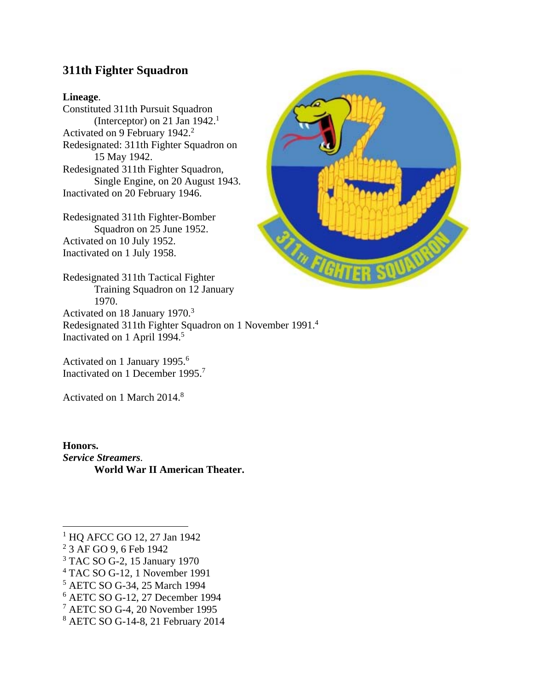# **311th Fighter Squadron**

#### **Lineage**.

Constituted 311th Pursuit Squadron (Interceptor) on 21 Jan  $1942<sup>1</sup>$ Activated on 9 February 1942.<sup>2</sup> Redesignated: 311th Fighter Squadron on 15 May 1942. Redesignated 311th Fighter Squadron, Single Engine, on 20 August 1943. Inactivated on 20 February 1946.

Redesignated 311th Fighter-Bomber Squadron on 25 June 1952. Activated on 10 July 1952. Inactivated on 1 July 1958.

Redesignated 311th Tactical Fighter Training Squadron on 12 January 1970. Activated on 18 January 1970.3 Redesignated 311th Fighter Squadron on 1 November 1991.4

Inactivated on 1 April 1994.<sup>5</sup>

Activated on 1 January 1995.<sup>6</sup> Inactivated on 1 December 1995.7

Activated on 1 March 2014.<sup>8</sup>

**Honors.**  *Service Streamers.*  **World War II American Theater.** 

- 3 TAC SO G-2, 15 January 1970
- 4 TAC SO G-12, 1 November 1991
- 5 AETC SO G-34, 25 March 1994
- 6 AETC SO G-12, 27 December 1994
- 7 AETC SO G-4, 20 November 1995
- 8 AETC SO G-14-8, 21 February 2014



 1 HQ AFCC GO 12, 27 Jan 1942

<sup>2</sup> 3 AF GO 9, 6 Feb 1942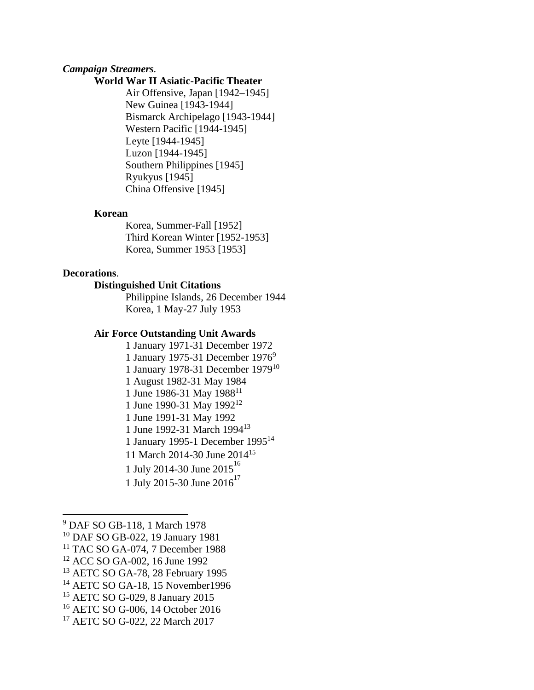#### *Campaign Streamers.*

#### **World War II Asiatic-Pacific Theater**

Air Offensive, Japan [1942–1945] New Guinea [1943-1944] Bismarck Archipelago [1943-1944] Western Pacific [1944-1945] Leyte [1944-1945] Luzon [1944-1945] Southern Philippines [1945] Ryukyus [1945] China Offensive [1945]

#### **Korean**

Korea, Summer-Fall [1952] Third Korean Winter [1952-1953] Korea, Summer 1953 [1953]

#### **Decorations**.

# **Distinguished Unit Citations**

Philippine Islands, 26 December 1944 Korea, 1 May-27 July 1953

#### **Air Force Outstanding Unit Awards**

1 January 1971-31 December 1972 1 January 1975-31 December 19769 1 January 1978-31 December 197910 1 August 1982-31 May 1984 1 June 1986-31 May 1988<sup>11</sup> 1 June 1990-31 May 1992<sup>12</sup> 1 June 1991-31 May 1992 1 June 1992-31 March 199413 1 January 1995-1 December 199514 11 March 2014-30 June 2014<sup>15</sup> 1 July 2014-30 June 2015<sup>16</sup> 1 July 2015-30 June  $2016^{17}$ 

<sup>9</sup> DAF SO GB-118, 1 March 1978

<sup>10</sup> DAF SO GB-022, 19 January 1981

<sup>&</sup>lt;sup>11</sup> TAC SO GA-074, 7 December 1988

<sup>12</sup> ACC SO GA-002, 16 June 1992

<sup>&</sup>lt;sup>13</sup> AETC SO GA-78, 28 February 1995

<sup>14</sup> AETC SO GA-18, 15 November1996

<sup>15</sup> AETC SO G-029, 8 January 2015

<sup>16</sup> AETC SO G-006, 14 October 2016

<sup>17</sup> AETC SO G-022, 22 March 2017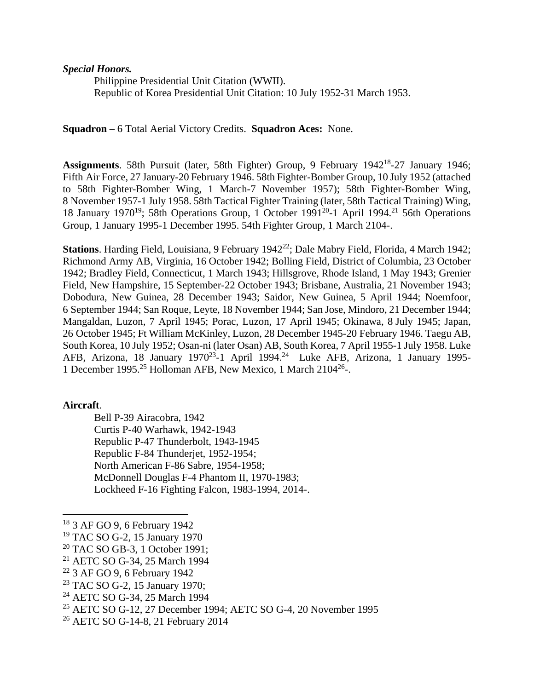*Special Honors.* 

Philippine Presidential Unit Citation (WWII). Republic of Korea Presidential Unit Citation: 10 July 1952-31 March 1953.

**Squadron** – 6 Total Aerial Victory Credits. **Squadron Aces:** None.

Assignments. 58th Pursuit (later, 58th Fighter) Group, 9 February 1942<sup>18</sup>-27 January 1946; Fifth Air Force, 27 January-20 February 1946. 58th Fighter-Bomber Group, 10 July 1952 (attached to 58th Fighter-Bomber Wing, 1 March-7 November 1957); 58th Fighter-Bomber Wing, 8 November 1957-1 July 1958. 58th Tactical Fighter Training (later, 58th Tactical Training) Wing, 18 January 1970<sup>19</sup>; 58th Operations Group, 1 October 1991<sup>20</sup>-1 April 1994.<sup>21</sup> 56th Operations Group, 1 January 1995-1 December 1995. 54th Fighter Group, 1 March 2104-.

**Stations**. Harding Field, Louisiana, 9 February 1942<sup>22</sup>; Dale Mabry Field, Florida, 4 March 1942; Richmond Army AB, Virginia, 16 October 1942; Bolling Field, District of Columbia, 23 October 1942; Bradley Field, Connecticut, 1 March 1943; Hillsgrove, Rhode Island, 1 May 1943; Grenier Field, New Hampshire, 15 September-22 October 1943; Brisbane, Australia, 21 November 1943; Dobodura, New Guinea, 28 December 1943; Saidor, New Guinea, 5 April 1944; Noemfoor, 6 September 1944; San Roque, Leyte, 18 November 1944; San Jose, Mindoro, 21 December 1944; Mangaldan, Luzon, 7 April 1945; Porac, Luzon, 17 April 1945; Okinawa, 8 July 1945; Japan, 26 October 1945; Ft William McKinley, Luzon, 28 December 1945-20 February 1946. Taegu AB, South Korea, 10 July 1952; Osan-ni (later Osan) AB, South Korea, 7 April 1955-1 July 1958. Luke AFB, Arizona, 18 January 1970<sup>23</sup>-1 April 1994.<sup>24</sup> Luke AFB, Arizona, 1 January 1995-1 December 1995.<sup>25</sup> Holloman AFB, New Mexico, 1 March 2104<sup>26</sup>-.

#### **Aircraft**.

Bell P-39 Airacobra, 1942 Curtis P-40 Warhawk, 1942-1943 Republic P-47 Thunderbolt, 1943-1945 Republic F-84 Thunderjet, 1952-1954; North American F-86 Sabre, 1954-1958; McDonnell Douglas F-4 Phantom II, 1970-1983; Lockheed F-16 Fighting Falcon, 1983-1994, 2014-.

 18 3 AF GO 9, 6 February 1942

<sup>19</sup> TAC SO G-2, 15 January 1970

<sup>&</sup>lt;sup>20</sup> TAC SO GB-3, 1 October 1991;

<sup>21</sup> AETC SO G-34, 25 March 1994

<sup>22 3</sup> AF GO 9, 6 February 1942

<sup>23</sup> TAC SO G-2, 15 January 1970;

<sup>24</sup> AETC SO G-34, 25 March 1994

<sup>25</sup> AETC SO G-12, 27 December 1994; AETC SO G-4, 20 November 1995

<sup>26</sup> AETC SO G-14-8, 21 February 2014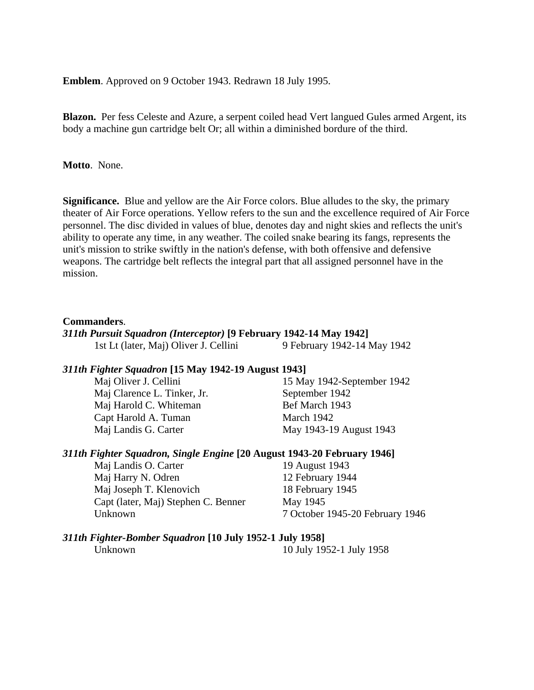**Emblem**. Approved on 9 October 1943. Redrawn 18 July 1995.

**Blazon.** Per fess Celeste and Azure, a serpent coiled head Vert langued Gules armed Argent, its body a machine gun cartridge belt Or; all within a diminished bordure of the third.

**Motto**. None.

**Significance.** Blue and yellow are the Air Force colors. Blue alludes to the sky, the primary theater of Air Force operations. Yellow refers to the sun and the excellence required of Air Force personnel. The disc divided in values of blue, denotes day and night skies and reflects the unit's ability to operate any time, in any weather. The coiled snake bearing its fangs, represents the unit's mission to strike swiftly in the nation's defense, with both offensive and defensive weapons. The cartridge belt reflects the integral part that all assigned personnel have in the mission.

#### **Commanders**.

#### *311th Pursuit Squadron (Interceptor)* **[9 February 1942-14 May 1942]**  1st Lt (later, Maj) Oliver J. Cellini 9 February 1942-14 May 1942

#### *311th Fighter Squadron* **[15 May 1942-19 August 1943]**

Maj Clarence L. Tinker, Jr. September 1942 Maj Harold C. Whiteman Bef March 1943 Capt Harold A. Tuman March 1942

Maj Oliver J. Cellini 15 May 1942-September 1942 Maj Landis G. Carter May 1943-19 August 1943

## *311th Fighter Squadron, Single Engine* **[20 August 1943-20 February 1946]**

Maj Landis O. Carter 19 August 1943 Maj Harry N. Odren 12 February 1944 Maj Joseph T. Klenovich 18 February 1945 Capt (later, Maj) Stephen C. Benner May 1945 Unknown 7 October 1945-20 February 1946

# *311th Fighter-Bomber Squadron* **[10 July 1952-1 July 1958]**

Unknown 10 July 1952-1 July 1958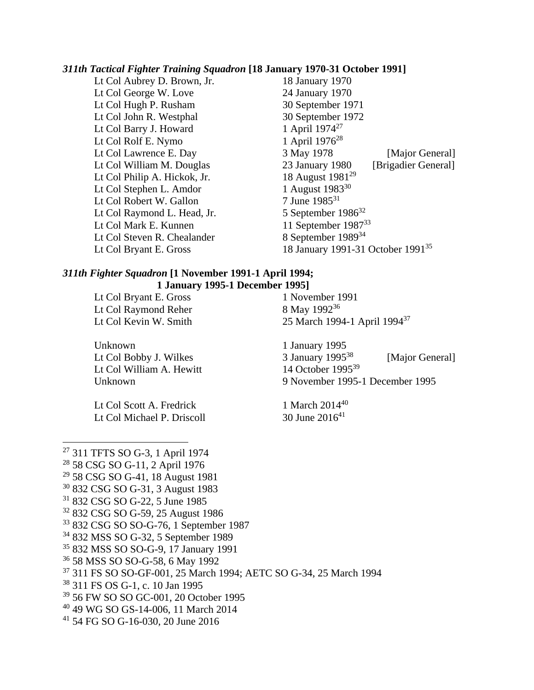# *311th Tactical Fighter Training Squadron* **[18 January 1970-31 October 1991]**

Lt Col Aubrey D. Brown, Jr. Lt Col George W. Love 24 January 1970 Lt Col Hugh P. Rusham 30 September 1971 Lt Col John R. Westphal 30 September 1972 Lt Col Barry J. Howard  $1$  April 1974<sup>27</sup> Lt Col Rolf E. Nymo  $1$  April 1976<sup>28</sup> Lt Col Philip A. Hickok, Jr. Lt Col Stephen L. Amdor<br>
Lt Col Robert W. Gallon 1 August 1983<sup>30</sup><br>
7 June 1985<sup>31</sup> Lt Col Robert W. Gallon Lt Col Raymond L. Head, Jr.  $5$  September  $1986^{32}$ Lt Col Mark E. Kunnen 11 September 1987<sup>33</sup><br>Lt Col Steven R. Chealander 8 September 1989<sup>34</sup> Lt Col Steven R. Chealander

Lt Col Lawrence E. Day 3 May 1978 [Major General] Lt Col William M. Douglas 23 January 1980 [Brigadier General]<br>Lt Col Philip A. Hickok, Jr. 18 August 1981<sup>29</sup> Lt Col Bryant E. Gross 18 January 1991-31 October 1991<sup>35</sup>

### *311th Fighter Squadron* **[1 November 1991-1 April 1994; 1 January 1995-1 December 1995]**

Lt Col Bryant E. Gross 1 November 1991 Lt Col Raymond Reher 8 May 1992<sup>36</sup>

Unknown 1 January 1995 Lt Col William A. Hewitt 14 October 1995<sup>39</sup>

Lt Col Scott A. Fredrick 1 March 2014<sup>40</sup> Lt Col Michael P. Driscoll  $30$  June  $2016<sup>41</sup>$ 

Lt Col Kevin W. Smith 25 March 1994-1 April 1994<sup>37</sup>

Lt Col Bobby J. Wilkes 3 January 1995<sup>38</sup> [Major General] Unknown 9 November 1995-1 December 1995

27 311 TFTS SO G-3, 1 April 1974 28 58 CSG SO G-11, 2 April 1976 <sup>29</sup> 58 CSG SO G-41, 18 August 1981 30 832 CSG SO G-31, 3 August 1983 31 832 CSG SO G-22, 5 June 1985 32 832 CSG SO G-59, 25 August 1986 33 832 CSG SO SO-G-76, 1 September 1987 34 832 MSS SO G-32, 5 September 1989 35 832 MSS SO SO-G-9, 17 January 1991 36 58 MSS SO SO-G-58, 6 May 1992 37 311 FS SO SO-GF-001, 25 March 1994; AETC SO G-34, 25 March 1994 38 311 FS OS G-1, c. 10 Jan 1995 39 56 FW SO SO GC-001, 20 October 1995 40 49 WG SO GS-14-006, 11 March 2014 41 54 FG SO G-16-030, 20 June 2016